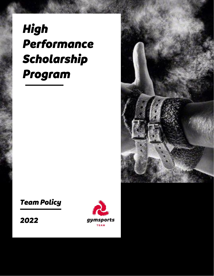# High Performance Scholarship Program



## **Team Policy**

2022

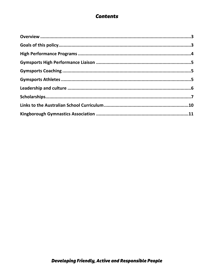## **Contents**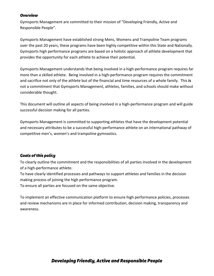#### <span id="page-2-0"></span>**Overview**

Gymsports Management are committed to their mission of "Developing Friendly, Active and Responsible People".

Gymsports Management have established strong Mens, Womens and Trampoline Team programs over the past 20 years, these programs have been highly competitive within this State and Nationally. Gymsports high performance programs are based on a holistic approach of athlete development that provides the opportunity for each athlete to achieve their potential.

Gymsports Management understands that being involved in a high-performance program requires far more than a skilled athlete. Being involved in a high-performance program requires the commitment and sacrifice not only of the athlete but of the financial and time resources of a whole family. This **is**  not a commitment that Gymsports Management, athletes, families, and schools should make without considerable thought.

This document will outline all aspects of being involved in a high-performance program and will guide successful decision making for all parties.

Gymsports Management is committed to supporting athletes that have the development potential and necessary attributes to be a successful high-performance athlete on an international pathway of competitive men's, women's and trampoline gymnastics.

#### <span id="page-2-1"></span>**Goals of this policy**

To clearly outline the commitment and the responsibilities of all parties involved in the development of a high-performance athlete.

To have clearly identified processes and pathways to support athletes and families in the decision making process of joining the high performance program.

To ensure all parties are focused on the same objective.

To implement an effective communication platform to ensure high performance policies, processes and review mechanisms are in place for informed contribution, decision making, transparency and awareness.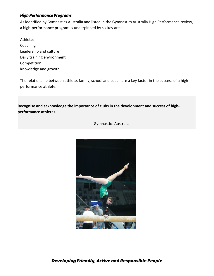#### <span id="page-3-0"></span>**High Performance Programs**

As identified by Gymnastics Australia and listed in the Gymnastics Australia High Performance review, a high-performance program is underpinned by six key areas:

Athletes Coaching Leadership and culture Daily training environment Competition Knowledge and growth

The relationship between athlete, family, school and coach are a key factor in the success of a highperformance athlete.

**Recognise and acknowledge the importance of clubs in the development and success of highperformance athletes.**

-Gymnastics Australia

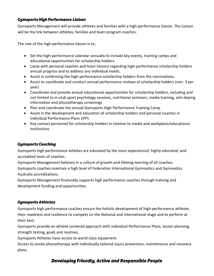#### <span id="page-4-0"></span>**Gymsports High Performance Liaison**

Gymsports Management will provide athletes and families with a high-performance liaison. The Liaison will be the link between athletes, families and team program coaches.

The role of the high-performance liaison is to;

- Set the high-performance calendar annually to include key events, training camps and educational opportunities for scholarship holders.
- Liaise with personal coaches and team liaisons regarding high-performance scholarship holders annual progress and to address any individual needs.
- Assist in confirming the high-performance scholarship holders from the nominations.
- Assist to coordinate and conduct annual performance reviews of scholarship holders (min. 3 per year)
- Coordinate and provide annual educational opportunities for scholarship holders, including and not limited to in-club sport psychology sessions, nutritional seminars, media training, anti-doping information and physiotherapy screenings
- Plan and coordinate the annual Gymsports High Performance Training Camp
- Assist in the development and education of scholarship holders and personal coaches in Individual Performance Plans (IPP)
- Key contact personnel for scholarship holders in relation to media and workplace/educational institutions

#### <span id="page-4-1"></span>**Gymsports Coaching**

Gymsports high performance athletes are educated by the most experienced, highly educated, and accredited team of coaches.

Gymsports Management believes in a culture of growth and lifelong learning of all coaches. Gymsports coaches maintain a high level of Federation International Gymnastics and Gymnastics Australia accreditations.

Gymsports Management financially supports high performance coaches through training and development funding and opportunities.

#### <span id="page-4-2"></span>**Gymsports Athletes**

Gymsports high performance coaches ensure the holistic development of high-performance athletes, their readiness and resilience to compete on the National and International stage and to perform at their best.

Gymsports provide an athlete centered approach with individual Performance Plans, lesson planning, strength testing, goals and routines.

Gymsports Athletes have access to world class equipment.

Access to onsite physiotherapy with individually tailored injury prevention, maintenance and recovery plans.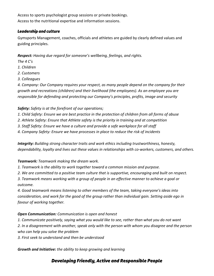Access to sports psychologist group sessions or private bookings. Access to the nutritional expertise and information sessions.

#### <span id="page-5-0"></span>**Leadership and culture**

Gymsports Management, coaches, officials and athletes are guided by clearly defined values and guiding principles.

*Respect: Having due regard for someone's wellbeing, feelings, and rights.*

- *The 4 C's*
- *1. Children*
- *2. Customers*
- *3. Colleagues*

*4. Company: Our Company requires your respect, as many people depend on the company for their growth and recreations (children) and their livelihood (the employees). As an employee you are responsible for defending and protecting our Company's principles, profits, image and security*

#### *Safety: Safety is at the forefront of our operations;*

- *1. Child Safety: Ensure we are best practice in the protection of children from all forms of abuse*
- *2. Athlete Safety: Ensure that Athlete safety is the priority in training and at competition*
- *3. Staff Safety: Ensure we have a culture and provide a safe workplace for all staff*
- *4. Company Safety: Ensure we have processes in place to reduce the risk of incidents*

*Integrity: Building strong character traits and work ethics including trustworthiness, honesty, dependability, loyalty and lives out these values in relationships with co-workers, customers, and others.*

#### *Teamwork: Teamwork making the dream work.*

- *1. Teamwork is the ability to work together toward a common mission and purpose.*
- *2. We are committed to a positive team culture that is supportive, encouraging and built on respect.*

*3. Teamwork means working with a group of people in an effective manner to achieve a goal or outcome.*

*4. Good teamwork means listening to other members of the team, taking everyone's ideas into consideration, and work for the good of the group rather than individual gain. Setting aside ego in favour of working together.*

#### *Open Communication: Communication is open and honest*

*1. Communicate positively, saying what you would like to see, rather than what you do not want 2. In a disagreement with another, speak only with the person with whom you disagree and the person* 

*who can help you solve the problem*

*3. First seek to understand and then be understood*

*Growth and Initiative: the ability to keep growing and learning*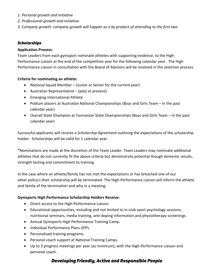- *1. Personal growth and initiative*
- *2. Professional growth and initiative*
- *3. Company growth: company growth will happen as a by product of attending to the first two*

#### <span id="page-6-0"></span>**Scholarships**

#### **Application Process:**

Team Leaders from each gymsport nominate athletes with supporting evidence, to the High Performance Liaison at the end of the competition year for the following calendar year. The High Performance Liaison in consultation with the Board of Advisors will be involved in the selection process.

#### **Criteria for nominating an athlete:**

- National Squad Member (Junior or Senior for the current year)
- Australian Representative (past or present)
- Emerging International Athlete
- Podium placers at Australian National Championships (Boys and Girls Team in the past calendar year)
- Overall State Champion at Tasmanian State Championships (Boys and Girls Team in the past calendar year)

Successful applicants will receive a *Scholarship Agreement* outlining the expectations of the scholarship holder. Scholarships will be valid for 1 calendar year.

\*Nominations are made at the discretion of the Team Leader. Team Leaders may nominate additional athletes that do not currently fit the above criteria but demonstrate potential though domestic results, strength testing and commitment to training.

In the case where an athlete/family has not met the expectations or has breached one of our other policy's their scholarship will be terminated. The High-Performance Liaison will inform the athlete and family of the termination and why in a meeting.

#### **Gymsports High Performance Scholarship Holders Receive:**

- Direct access to the High-Performance Liaison.
- Educational opportunities, including and not limited to in-club sport psychology sessions, nutritional seminars, media training, anti-doping information and physiotherapy screenings.
- Annual Gymsports High Performance Training Camp**.**
- Individual Performance Plans (IPP)**.**
- Personalised training programs.
- Personal coach support at National Training Camps.
- Up to 3 progress meetings per year (as minimum), with the High-Performance Liaison and personal coach.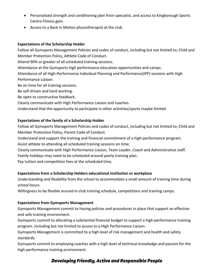- Personalised strength and conditioning plan from specialist, and access to Kingborough Sports Centre Fitness gym.
- Access to a Back in Motion physiotherapist at the club.

#### **Expectations of the Scholarship Holder**

Follow all Gymsports Management Policies and codes of conduct, including but not limited to; Child and Member Protection Policy, Athlete Code of Conduct.

Attend 90% or greater of all scheduled training sessions.

Attendance at the Gymsports high performance education opportunities and camps.

Attendance of all High-Performance Individual Planning and Performance(IPP) sessions with High Performance Liaison.

Be on time for all training sessions.

Be self-driven and hard working.

Be open to constructive feedback.

Clearly communicate with High Performance Liaison and coaches.

Understand that the opportunity to participate in other activities/sports maybe limited.

#### **Expectations of the family of a Scholarship Holder**

Follow all Gymsports Management Policies and codes of conduct, including but not limited to; Child and Member Protection Policy, Parent Code of Conduct.

Understand and support the training and financial commitment of a high-performance program.

Assist athlete to attending all scheduled training sessions on time.

Clearly communicate with High Performance Liaison, Team Leader, Coach and Administrative staff. Family holidays may need to be scheduled around yearly training plan.

Pay tuition and competition fees at the scheduled time.

#### **Expectations from a Scholarship Holders educational institution or workplace**

Understanding and flexibility from the school to accommodate a small amount of training time during school hours.

Willingness to be flexible around in-club training schedule, competitions and training camps.

#### **Expectations from Gymsports Management**

Gymsports Management commit to having policies and procedures in place that support an effective and safe training environment.

Gymsports commit to allocating a substantial financial budget to support a high-performance training program. Including but not limited to access to a High Performance Liaison.

Gymsports Management is committed to a high level of risk management and health and safety standards.

Gymsports commit to employing coaches with a high level of technical knowledge and passion for the high-performance training environment.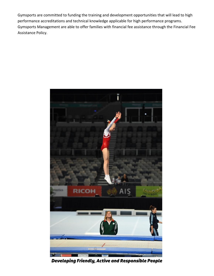Gymsports are committed to funding the training and development opportunities that will lead to high performance accreditations and technical knowledge applicable for high performance programs. Gymsports Management are able to offer families with financial fee assistance through the Financial Fee Assistance Policy.



Developing Friendly, Active and Responsible People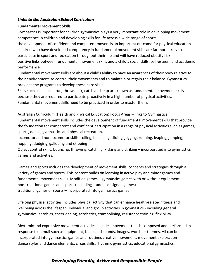#### <span id="page-9-0"></span>**Links to the Australian School Curriculum**

#### **Fundamental Movement Skills**

Gymnastics is important for children:gymnastics plays a very important role in developing movement competence in children and developing skills for life across a wide range of sports the development of confident and competent movers is an important outcome for physical education children who have developed competency in fundamental movement skills are far more likely to participate in sport and recreation throughout their life and will have reduced obesity risk positive links between fundamental movement skills and a child's social skills, self-esteem and academic performance.

Fundamental movement skills are about a child's ability to have an awareness of their body relative to their environment, to control their movements and to maintain or regain their balance. Gymnastics provides the programs to develop these core skills.

Skills such as balance, run, throw, kick, catch and leap are known as fundamental movement skills because they are required to participate proactively in a high number of physical activities. Fundamental movement skills need to be practiced in order to master them.

Australian Curriculum (Health and Physical Education) Focus Areas – links to Gymnastics Fundamental movement skills includes the development of fundamental movement skills that provide the foundation for competent and confident participation in a range of physical activities such as games, sports, dance, gymnastics and physical recreation.

locomotor and non-locomotor skills: rolling, balancing, sliding, jogging, running, leaping, jumping, hopping, dodging, galloping and skipping

Object control skills: bouncing, throwing, catching, kicking and striking – incorporated into gymnastics games and activities.

Games and sports includes the development of movement skills, concepts and strategies through a variety of games and sports. This content builds on learning in active play and minor games and fundamental movement skills. Modified games – gymnastics games with or without equipment non-traditional games and sports (including student-designed games) traditional games or sports – incorporated into gymnastics games

Lifelong physical activities includes physical activity that can enhance health-related fitness and wellbeing across the lifespan. Individual and group activities in gymnastics - including general gymnastics, aerobics, cheerleading, acrobatics, trampolining, resistance training, flexibility

Rhythmic and expressive movement activities includes movement that is composed and performed in response to stimuli such as equipment, beats and sounds, images, words or themes. All can be incorporated into gymnastics games and routines creative movement, movement exploration dance styles and dance elements**,** circus skills, rhythmic gymnastics**,** educational gymnastics.